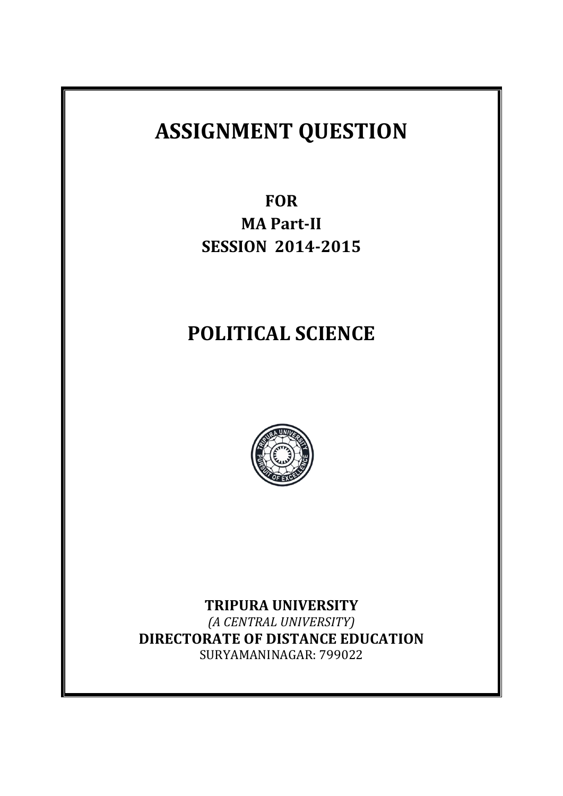# **ASSIGNMENT QUESTION**

**FOR MA Part-II SESSION 2014-2015**

# **POLITICAL SCIENCE**



**TRIPURA UNIVERSITY** *(A CENTRAL UNIVERSITY)* **DIRECTORATE OF DISTANCE EDUCATION** SURYAMANINAGAR: 799022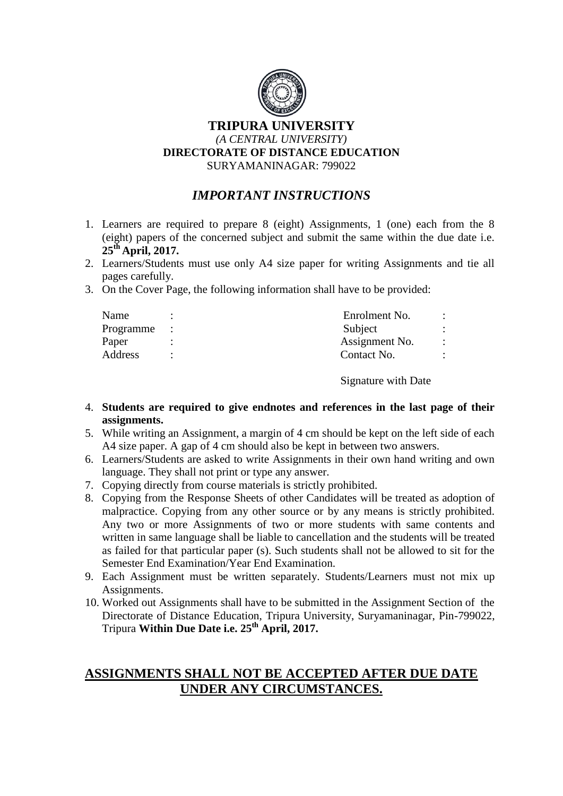

#### **TRIPURA UNIVERSITY** *(A CENTRAL UNIVERSITY)* **DIRECTORATE OF DISTANCE EDUCATION** SURYAMANINAGAR: 799022

#### *IMPORTANT INSTRUCTIONS*

- 1. Learners are required to prepare 8 (eight) Assignments, 1 (one) each from the 8 (eight) papers of the concerned subject and submit the same within the due date i.e. **25th April, 2017.**
- 2. Learners/Students must use only A4 size paper for writing Assignments and tie all pages carefully.
- 3. On the Cover Page, the following information shall have to be provided:

| Name      | Enrolment No.  |  |
|-----------|----------------|--|
| Programme | Subject        |  |
| Paper     | Assignment No. |  |
| Address   | Contact No.    |  |
|           |                |  |

Signature with Date

- 4. **Students are required to give endnotes and references in the last page of their assignments.**
- 5. While writing an Assignment, a margin of 4 cm should be kept on the left side of each A4 size paper. A gap of 4 cm should also be kept in between two answers.
- 6. Learners/Students are asked to write Assignments in their own hand writing and own language. They shall not print or type any answer.
- 7. Copying directly from course materials is strictly prohibited.
- 8. Copying from the Response Sheets of other Candidates will be treated as adoption of malpractice. Copying from any other source or by any means is strictly prohibited. Any two or more Assignments of two or more students with same contents and written in same language shall be liable to cancellation and the students will be treated as failed for that particular paper (s). Such students shall not be allowed to sit for the Semester End Examination/Year End Examination.
- 9. Each Assignment must be written separately. Students/Learners must not mix up Assignments.
- 10. Worked out Assignments shall have to be submitted in the Assignment Section of the Directorate of Distance Education, Tripura University, Suryamaninagar, Pin-799022, Tripura **Within Due Date i.e. 25th April, 2017.**

### **ASSIGNMENTS SHALL NOT BE ACCEPTED AFTER DUE DATE UNDER ANY CIRCUMSTANCES.**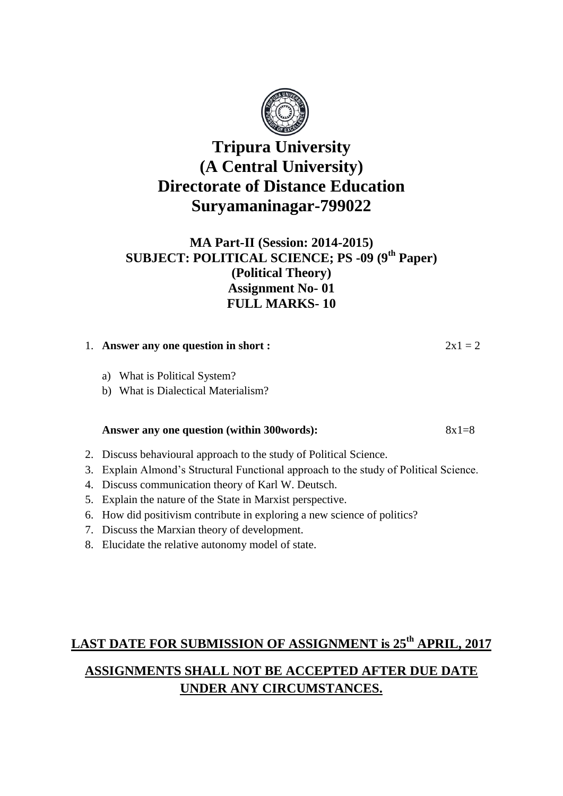

### **MA Part-II (Session: 2014-2015) SUBJECT: POLITICAL SCIENCE; PS -09 (9th Paper) (Political Theory) Assignment No- 01 FULL MARKS- 10**

|  | 1. Answer any one question in short : | $2x1 = 2$ |
|--|---------------------------------------|-----------|
|--|---------------------------------------|-----------|

- a) What is Political System?
- b) What is Dialectical Materialism?

#### Answer any one question (within 300words):  $8x1=8$

- 2. Discuss behavioural approach to the study of Political Science.
- 3. Explain Almond"s Structural Functional approach to the study of Political Science.
- 4. Discuss communication theory of Karl W. Deutsch.
- 5. Explain the nature of the State in Marxist perspective.
- 6. How did positivism contribute in exploring a new science of politics?
- 7. Discuss the Marxian theory of development.
- 8. Elucidate the relative autonomy model of state.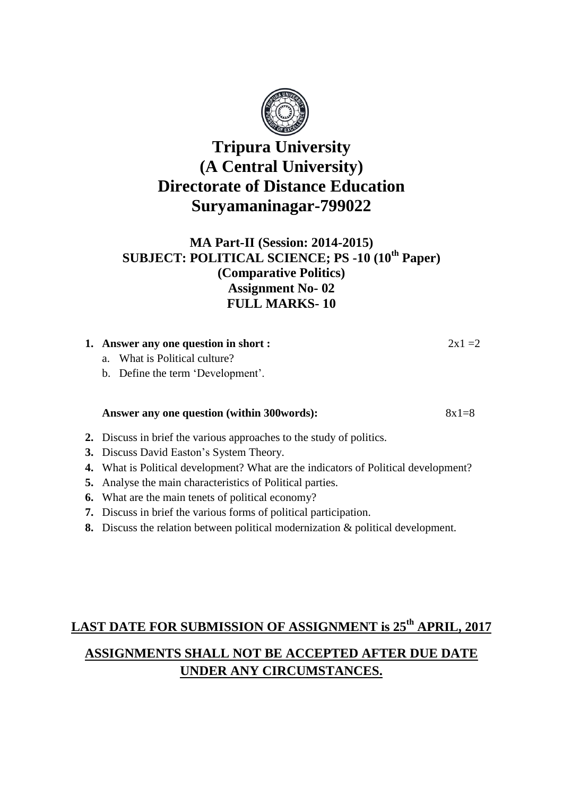

### **MA Part-II (Session: 2014-2015) SUBJECT: POLITICAL SCIENCE; PS -10 (10th Paper) (Comparative Politics) Assignment No- 02 FULL MARKS- 10**

| 1. Answer any one question in short :       | $2x1=2$ |
|---------------------------------------------|---------|
| a. What is Political culture?               |         |
| b. Define the term 'Development'.           |         |
| Answer any one question (within 300 words): | $8x1=8$ |

- **2.** Discuss in brief the various approaches to the study of politics.
- **3.** Discuss David Easton"s System Theory.
- **4.** What is Political development? What are the indicators of Political development?
- **5.** Analyse the main characteristics of Political parties.
- **6.** What are the main tenets of political economy?
- **7.** Discuss in brief the various forms of political participation.
- **8.** Discuss the relation between political modernization & political development.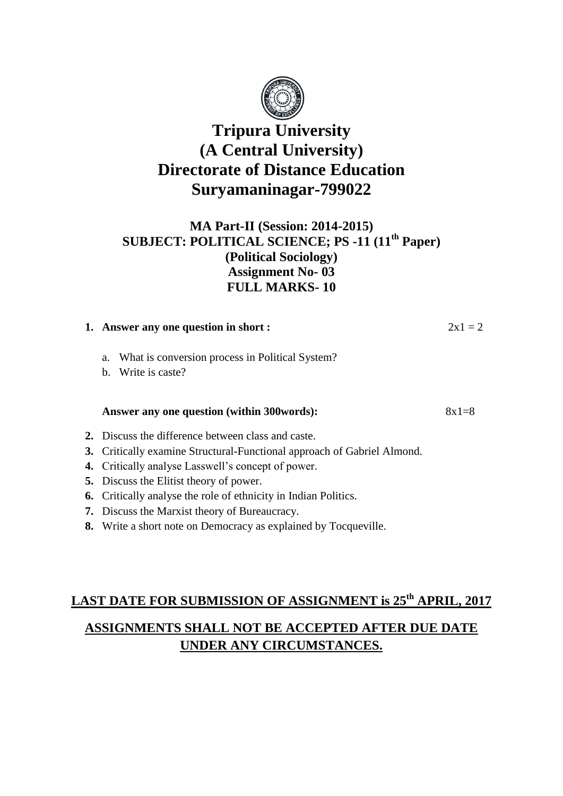

### **MA Part-II (Session: 2014-2015) SUBJECT: POLITICAL SCIENCE; PS -11 (11 th Paper) (Political Sociology) Assignment No- 03 FULL MARKS- 10**

| 1. Answer any one question in short :              | $2x1 = 2$ |
|----------------------------------------------------|-----------|
| a. What is conversion process in Political System? |           |

b. Write is caste?

#### Answer any one question (within 300words):  $8x1=8$

- **2.** Discuss the difference between class and caste.
- **3.** Critically examine Structural-Functional approach of Gabriel Almond.
- **4.** Critically analyse Lasswell"s concept of power.
- **5.** Discuss the Elitist theory of power.
- **6.** Critically analyse the role of ethnicity in Indian Politics.
- **7.** Discuss the Marxist theory of Bureaucracy.
- **8.** Write a short note on Democracy as explained by Tocqueville.

### **LAST DATE FOR SUBMISSION OF ASSIGNMENT is 25th APRIL, 2017**

### **ASSIGNMENTS SHALL NOT BE ACCEPTED AFTER DUE DATE UNDER ANY CIRCUMSTANCES.**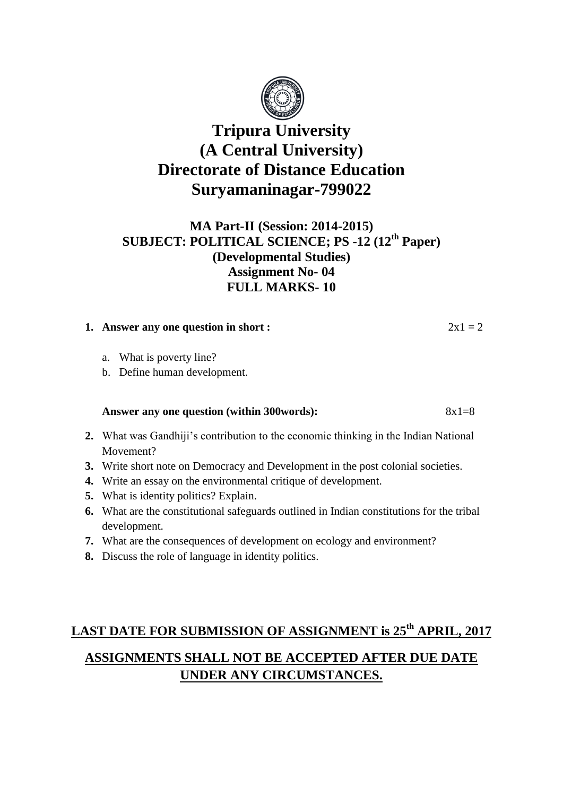

### **MA Part-II (Session: 2014-2015) SUBJECT: POLITICAL SCIENCE; PS -12 (12 th Paper) (Developmental Studies) Assignment No- 04 FULL MARKS- 10**

#### **1.** Answer any one question in short :  $2x1 = 2$

- a. What is poverty line?
- b. Define human development.

#### Answer any one question (within 300words):  $8x1=8$

- **2.** What was Gandhiji"s contribution to the economic thinking in the Indian National Movement?
- **3.** Write short note on Democracy and Development in the post colonial societies.
- **4.** Write an essay on the environmental critique of development.
- **5.** What is identity politics? Explain.
- **6.** What are the constitutional safeguards outlined in Indian constitutions for the tribal development.
- **7.** What are the consequences of development on ecology and environment?
- **8.** Discuss the role of language in identity politics.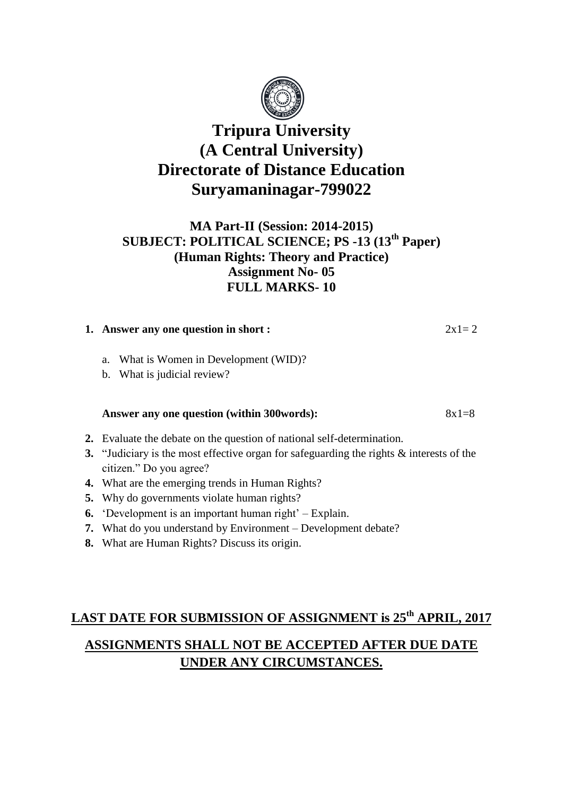

### **MA Part-II (Session: 2014-2015) SUBJECT: POLITICAL SCIENCE; PS -13 (13th Paper) (Human Rights: Theory and Practice) Assignment No- 05 FULL MARKS- 10**

### **1.** Answer any one question in short :  $2x1=2$

- a. What is Women in Development (WID)?
- b. What is judicial review?

#### Answer any one question (within 300words):  $8x1=8$

- **2.** Evaluate the debate on the question of national self-determination.
- **3.** "Judiciary is the most effective organ for safeguarding the rights & interests of the citizen." Do you agree?
- **4.** What are the emerging trends in Human Rights?
- **5.** Why do governments violate human rights?
- **6.** 'Development is an important human right' Explain.
- **7.** What do you understand by Environment Development debate?
- **8.** What are Human Rights? Discuss its origin.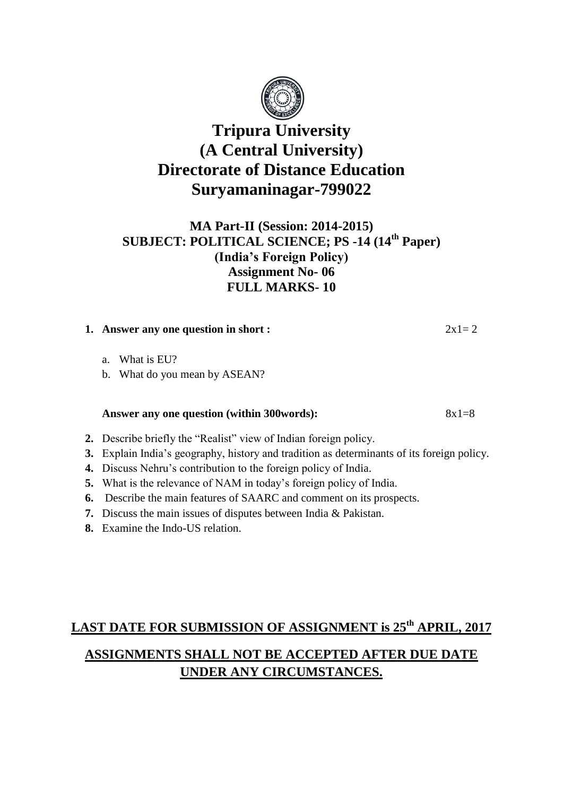

#### **MA Part-II (Session: 2014-2015) SUBJECT: POLITICAL SCIENCE; PS -14 (14th Paper) (India's Foreign Policy) Assignment No- 06 FULL MARKS- 10**

#### **1.** Answer any one question in short :  $2x1=2$

- a. What is EU?
- b. What do you mean by ASEAN?

#### Answer any one question (within 300words):  $8x1=8$

- **2.** Describe briefly the "Realist" view of Indian foreign policy.
- **3.** Explain India"s geography, history and tradition as determinants of its foreign policy.
- **4.** Discuss Nehru"s contribution to the foreign policy of India.
- **5.** What is the relevance of NAM in today's foreign policy of India.
- **6.** Describe the main features of SAARC and comment on its prospects.
- **7.** Discuss the main issues of disputes between India & Pakistan.
- **8.** Examine the Indo-US relation.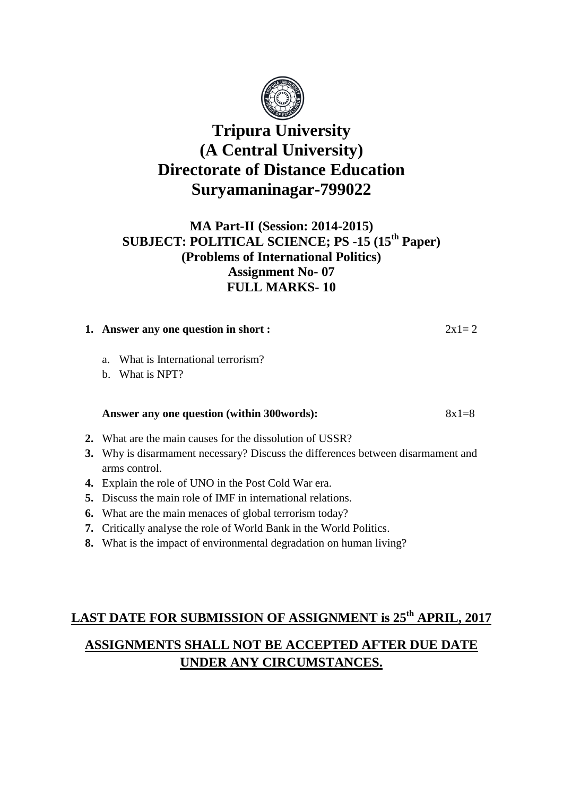

### **MA Part-II (Session: 2014-2015) SUBJECT: POLITICAL SCIENCE; PS -15 (15th Paper) (Problems of International Politics) Assignment No- 07 FULL MARKS- 10**

#### **1.** Answer any one question in short :  $2x1=2$

- a. What is International terrorism?
- b. What is NPT?

#### Answer any one question (within 300words):  $8x1=8$

- **2.** What are the main causes for the dissolution of USSR?
- **3.** Why is disarmament necessary? Discuss the differences between disarmament and arms control.
- **4.** Explain the role of UNO in the Post Cold War era.
- **5.** Discuss the main role of IMF in international relations.
- **6.** What are the main menaces of global terrorism today?
- **7.** Critically analyse the role of World Bank in the World Politics.
- **8.** What is the impact of environmental degradation on human living?